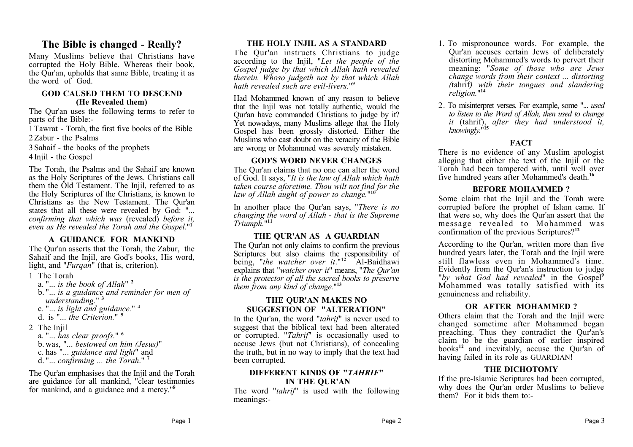### **The Bible is changed - Really?**

Many Muslims believe that Christians have corrupted the Holy Bible. Whereas their book, the Qur'an, upholds that same Bible, treating it as the word of God.

#### **GOD CAUSED THEM TO DESCEND (He Revealed them)**

The Qur'an uses the following terms to refer to parts of the Bible:-

1 Tawrat - Torah, the first five books of the Bible 2 Zabur - the Psalms

3 Sahaif - the books of the prophets

4 Injil - the Gospel

The Torah, the Psalms and the Sahaif are known as the Holy Scriptures of the Jews. Christians call them the Old Testament. The Injil, referred to as the Holy Scriptures of the Christians, is known to Christians as the New Testament. The Qur'an states that all these were revealed by God: "... *confirming that which was* (revealed) *before it, even as He revealed the Torah and the Gospel.*" **1**

#### **A GUIDANCE FOR MANKIND**

The Qur'an asserts that the Torah, the Zabur, the Sahaif and the Injil, are God's books, His word, light, and "*Furgan*" (that is, criterion).

- 1 The Torah
	- a. "... *is the book of Allah*" **<sup>2</sup>** b. "... *is a guidance and reminder for men of understanding.*" **<sup>3</sup>** c. "... *is light and guidance.*" **<sup>4</sup>** d. is "... *the Criterion.*" **<sup>5</sup>**
- 2 The Iniil
	- a. "... *has clear proofs.*" **<sup>6</sup>** b. was, "... *bestowed on him (Jesus)*" c. has "... *guidance and light*" and d. "... *confirming ... the Torah*." **<sup>7</sup>**

The Qur'an emphasises that the Injil and the Torah are guidance for all mankind, "clear testimonies for mankind, and a guidance and a mercy."**<sup>8</sup>**

#### **THE HOLY INJIL AS A STANDARD**

The Qur'an instructs Christians to judge according to the Injil, "*Let the people of the Gospel judge by that which Allah hath revealed therein. Whoso judgeth not by that which Allah hath revealed such are evil-livers.*" **9**

Had Mohammed known of any reason to believe that the Injil was not totally authentic, would the Qur'an have commanded Christians to judge by it? Yet nowadays, many Muslims allege that the Holy Gospel has been grossly distorted. Either the Muslims who cast doubt on the veracity of the Bible are wrong or Mohammed was severely mistaken.

#### **GOD'S WORD NEVER CHANGES**

The Qur'an claims that no one can alter the word of God. It says, "*It is the law of Allah which hath taken course aforetime. Thou wilt not find for the law of Allah aught of power to change.*" **10**

In another place the Qur'an says, "*There is no changing the word of Allah - that is the Supreme Triumph.*" **11**

#### **THE QUR'AN AS A GUARDIAN**

The Qur'an not only claims to confirm the previous Scriptures but also claims the responsibility of being, "*the watcher over it*."**<sup>12</sup>** Al-Baidhawi explains that "*watcher over it*" means, "*The Qur'an is the protector of all the sacred books to preserve them from any kind of change.*" **13**

#### **THE QUR'AN MAKES NO SUGGESTION OF "ALTERATION"**

In the Qur'an, the word "*tahrif*" is never used to suggest that the biblical text had been alterated or corrupted. "*Tahrif*" is occasionally used to accuse Jews (but not Christians), of concealing the truth, but in no way to imply that the text had been corrupted.

#### **DIFFERENT KINDS OF "***TAHRIF***" IN THE QUR'AN**

The word "*tahrif*" is used with the following meanings:-

- 1. To mispronounce words. For example, the Qur'an accuses certain Jews of deliberately distorting Mohammed's words to pervert their meaning: "*Some of those who are Jews change words from their context ... distorting (*tahrif*) with their tongues and slandering religion.*" **14**
- 2. To misinterpret verses. For example, some "... *used to listen to the Word of Allah, then used to change it* (tahrif), *after they had understood it, knowingly.*" **15**

#### **FACT**

There is no evidence of any Muslim apologist alleging that either the text of the Injil or the Torah had been tampered with, until well over five hundred years after Mohammed's death.**<sup>16</sup>**

#### **BEFORE MOHAMMED ?**

Some claim that the Injil and the Torah were corrupted before the prophet of Islam came. If that were so, why does the Qur'an assert that the message revealed to Mohammed was confirmation of the previous Scriptures?**<sup>12</sup>**

According to the Qur'an, written more than five hundred years later, the Torah and the Injil were still flawless even in Mohammed's time. Evidently from the Qur'an's instruction to judge "*by what God had revealed*" in the Gospel**<sup>9</sup>** Mohammed was totally satisfied with its genuineness and reliability.

#### **OR AFTER MOHAMMED ?**

Others claim that the Torah and the Injil were changed sometime after Mohammed began preaching. Thus they contradict the Qur'an's claim to be the guardian of earlier inspired books**<sup>12</sup>** and inevitably, accuse the Qur'an of having failed in its role as GUARDIAN**!**

#### **THE DICHOTOMY**

If the pre-Islamic Scriptures had been corrupted, why does the Qur'an order Muslims to believe them? For it bids them to:-